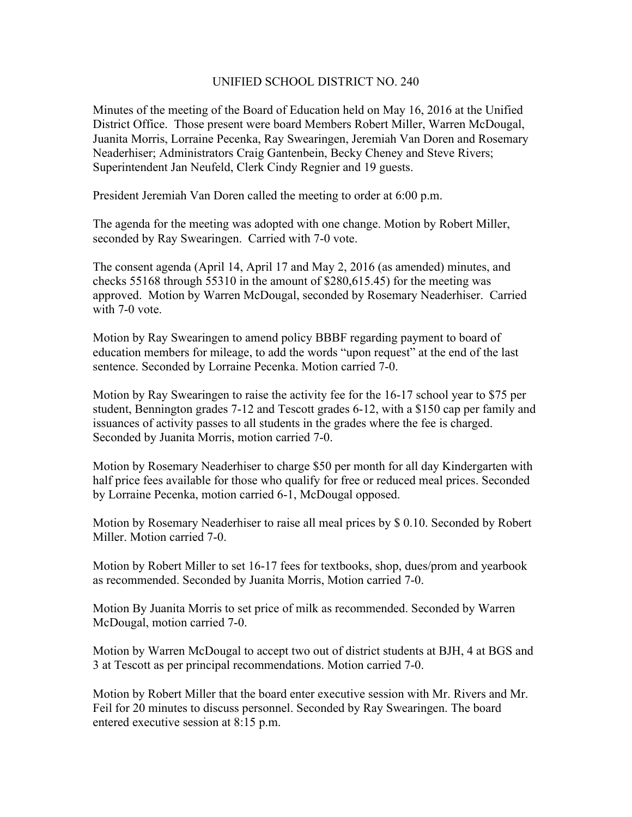## UNIFIED SCHOOL DISTRICT NO. 240

Minutes of the meeting of the Board of Education held on May 16, 2016 at the Unified District Office. Those present were board Members Robert Miller, Warren McDougal, Juanita Morris, Lorraine Pecenka, Ray Swearingen, Jeremiah Van Doren and Rosemary Neaderhiser; Administrators Craig Gantenbein, Becky Cheney and Steve Rivers; Superintendent Jan Neufeld, Clerk Cindy Regnier and 19 guests.

President Jeremiah Van Doren called the meeting to order at 6:00 p.m.

The agenda for the meeting was adopted with one change. Motion by Robert Miller, seconded by Ray Swearingen. Carried with 7-0 vote.

The consent agenda (April 14, April 17 and May 2, 2016 (as amended) minutes, and checks 55168 through 55310 in the amount of \$280,615.45) for the meeting was approved. Motion by Warren McDougal, seconded by Rosemary Neaderhiser. Carried with 7-0 vote.

Motion by Ray Swearingen to amend policy BBBF regarding payment to board of education members for mileage, to add the words "upon request" at the end of the last sentence. Seconded by Lorraine Pecenka. Motion carried 7-0.

Motion by Ray Swearingen to raise the activity fee for the 16-17 school year to \$75 per student, Bennington grades 7-12 and Tescott grades 6-12, with a \$150 cap per family and issuances of activity passes to all students in the grades where the fee is charged. Seconded by Juanita Morris, motion carried 7-0.

Motion by Rosemary Neaderhiser to charge \$50 per month for all day Kindergarten with half price fees available for those who qualify for free or reduced meal prices. Seconded by Lorraine Pecenka, motion carried 6-1, McDougal opposed.

Motion by Rosemary Neaderhiser to raise all meal prices by \$ 0.10. Seconded by Robert Miller. Motion carried 7-0.

Motion by Robert Miller to set 16-17 fees for textbooks, shop, dues/prom and yearbook as recommended. Seconded by Juanita Morris, Motion carried 7-0.

Motion By Juanita Morris to set price of milk as recommended. Seconded by Warren McDougal, motion carried 7-0.

Motion by Warren McDougal to accept two out of district students at BJH, 4 at BGS and 3 at Tescott as per principal recommendations. Motion carried 7-0.

Motion by Robert Miller that the board enter executive session with Mr. Rivers and Mr. Feil for 20 minutes to discuss personnel. Seconded by Ray Swearingen. The board entered executive session at 8:15 p.m.